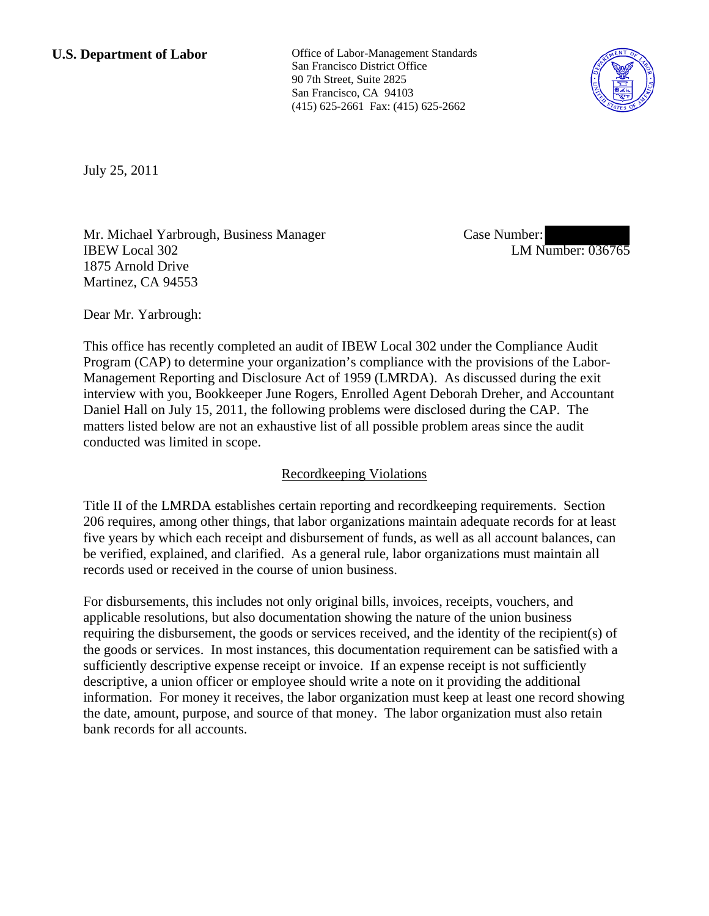**U.S. Department of Labor Conservative Conservative Conservative Conservative Conservative Conservative Conservative Conservative Conservative Conservative Conservative Conservative Conservative Conservative Conservative** San Francisco District Office 90 7th Street, Suite 2825 San Francisco, CA 94103 (415) 625-2661 Fax: (415) 625-2662



July 25, 2011

Mr. Michael Yarbrough, Business Manager IBEW Local 302 1875 Arnold Drive Martinez, CA 94553

Case Number: LM Number: 036765

Dear Mr. Yarbrough:

This office has recently completed an audit of IBEW Local 302 under the Compliance Audit Program (CAP) to determine your organization's compliance with the provisions of the Labor-Management Reporting and Disclosure Act of 1959 (LMRDA). As discussed during the exit interview with you, Bookkeeper June Rogers, Enrolled Agent Deborah Dreher, and Accountant Daniel Hall on July 15, 2011, the following problems were disclosed during the CAP. The matters listed below are not an exhaustive list of all possible problem areas since the audit conducted was limited in scope.

# Recordkeeping Violations

Title II of the LMRDA establishes certain reporting and recordkeeping requirements. Section 206 requires, among other things, that labor organizations maintain adequate records for at least five years by which each receipt and disbursement of funds, as well as all account balances, can be verified, explained, and clarified. As a general rule, labor organizations must maintain all records used or received in the course of union business.

For disbursements, this includes not only original bills, invoices, receipts, vouchers, and applicable resolutions, but also documentation showing the nature of the union business requiring the disbursement, the goods or services received, and the identity of the recipient(s) of the goods or services. In most instances, this documentation requirement can be satisfied with a sufficiently descriptive expense receipt or invoice. If an expense receipt is not sufficiently descriptive, a union officer or employee should write a note on it providing the additional information. For money it receives, the labor organization must keep at least one record showing the date, amount, purpose, and source of that money. The labor organization must also retain bank records for all accounts.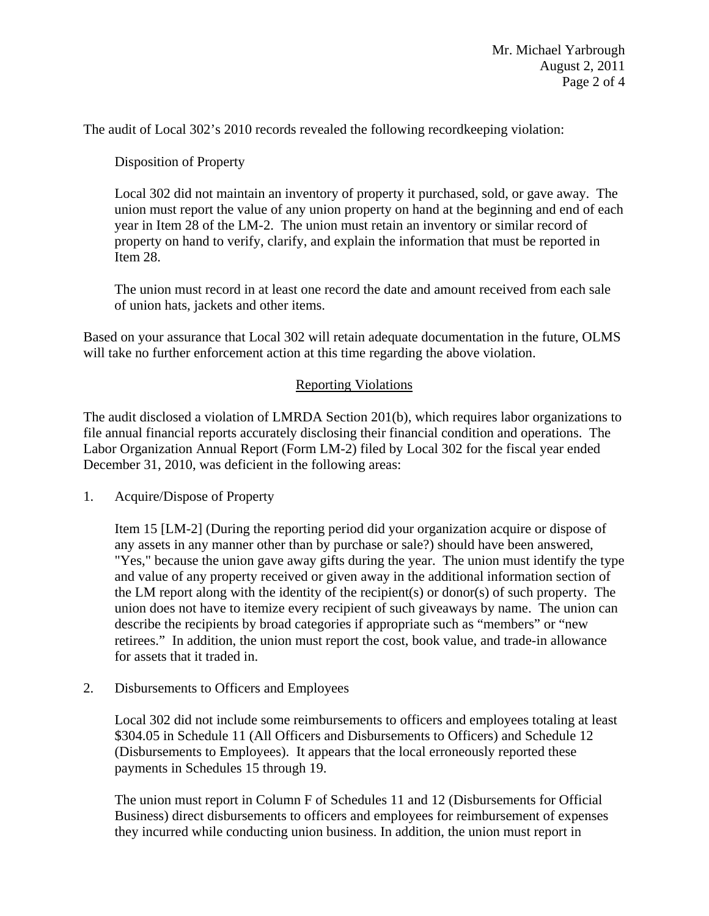The audit of Local 302's 2010 records revealed the following recordkeeping violation:

Disposition of Property

Local 302 did not maintain an inventory of property it purchased, sold, or gave away. The union must report the value of any union property on hand at the beginning and end of each year in Item 28 of the LM-2. The union must retain an inventory or similar record of property on hand to verify, clarify, and explain the information that must be reported in Item 28.

The union must record in at least one record the date and amount received from each sale of union hats, jackets and other items.

Based on your assurance that Local 302 will retain adequate documentation in the future, OLMS will take no further enforcement action at this time regarding the above violation.

## Reporting Violations

The audit disclosed a violation of LMRDA Section 201(b), which requires labor organizations to file annual financial reports accurately disclosing their financial condition and operations. The Labor Organization Annual Report (Form LM-2) filed by Local 302 for the fiscal year ended December 31, 2010, was deficient in the following areas:

1. Acquire/Dispose of Property

Item 15 [LM-2] (During the reporting period did your organization acquire or dispose of any assets in any manner other than by purchase or sale?) should have been answered, "Yes," because the union gave away gifts during the year. The union must identify the type and value of any property received or given away in the additional information section of the LM report along with the identity of the recipient(s) or donor(s) of such property. The union does not have to itemize every recipient of such giveaways by name. The union can describe the recipients by broad categories if appropriate such as "members" or "new retirees." In addition, the union must report the cost, book value, and trade-in allowance for assets that it traded in.

2. Disbursements to Officers and Employees

Local 302 did not include some reimbursements to officers and employees totaling at least \$304.05 in Schedule 11 (All Officers and Disbursements to Officers) and Schedule 12 (Disbursements to Employees). It appears that the local erroneously reported these payments in Schedules 15 through 19.

The union must report in Column F of Schedules 11 and 12 (Disbursements for Official Business) direct disbursements to officers and employees for reimbursement of expenses they incurred while conducting union business. In addition, the union must report in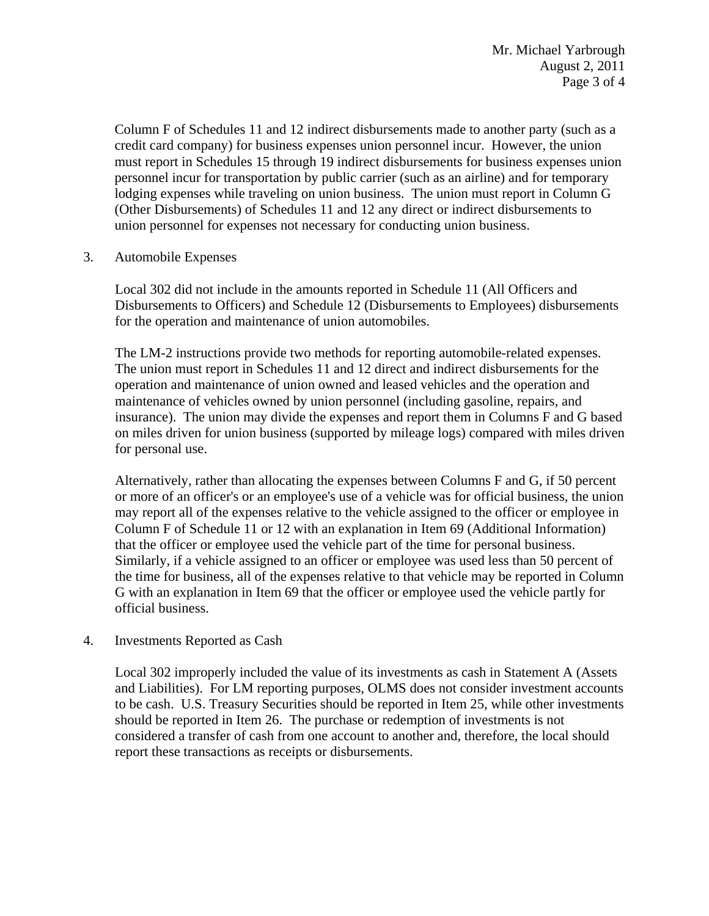Column F of Schedules 11 and 12 indirect disbursements made to another party (such as a credit card company) for business expenses union personnel incur. However, the union must report in Schedules 15 through 19 indirect disbursements for business expenses union personnel incur for transportation by public carrier (such as an airline) and for temporary lodging expenses while traveling on union business. The union must report in Column G (Other Disbursements) of Schedules 11 and 12 any direct or indirect disbursements to union personnel for expenses not necessary for conducting union business.

3. Automobile Expenses

Local 302 did not include in the amounts reported in Schedule 11 (All Officers and Disbursements to Officers) and Schedule 12 (Disbursements to Employees) disbursements for the operation and maintenance of union automobiles.

The LM-2 instructions provide two methods for reporting automobile-related expenses. The union must report in Schedules 11 and 12 direct and indirect disbursements for the operation and maintenance of union owned and leased vehicles and the operation and maintenance of vehicles owned by union personnel (including gasoline, repairs, and insurance). The union may divide the expenses and report them in Columns F and G based on miles driven for union business (supported by mileage logs) compared with miles driven for personal use.

Alternatively, rather than allocating the expenses between Columns F and G, if 50 percent or more of an officer's or an employee's use of a vehicle was for official business, the union may report all of the expenses relative to the vehicle assigned to the officer or employee in Column F of Schedule 11 or 12 with an explanation in Item 69 (Additional Information) that the officer or employee used the vehicle part of the time for personal business. Similarly, if a vehicle assigned to an officer or employee was used less than 50 percent of the time for business, all of the expenses relative to that vehicle may be reported in Column G with an explanation in Item 69 that the officer or employee used the vehicle partly for official business.

### 4. Investments Reported as Cash

Local 302 improperly included the value of its investments as cash in Statement A (Assets and Liabilities). For LM reporting purposes, OLMS does not consider investment accounts to be cash. U.S. Treasury Securities should be reported in Item 25, while other investments should be reported in Item 26. The purchase or redemption of investments is not considered a transfer of cash from one account to another and, therefore, the local should report these transactions as receipts or disbursements.